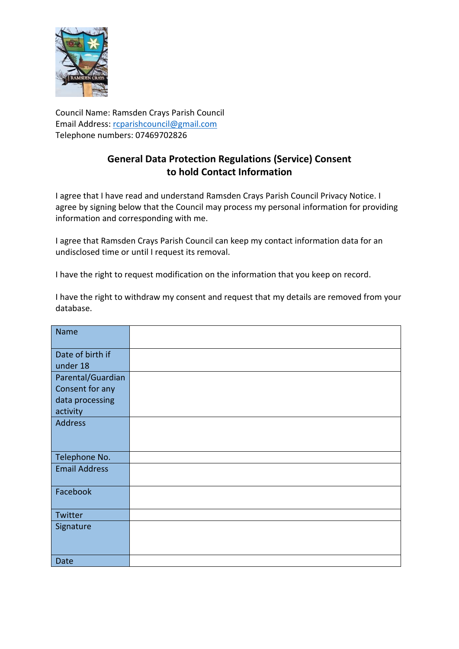

Council Name: Ramsden Crays Parish Council Email Address: [rcparishcouncil@gmail.com](mailto:rcparishcouncil@gmail.com) Telephone numbers: 07469702826

# **General Data Protection Regulations (Service) Consent to hold Contact Information**

I agree that I have read and understand Ramsden Crays Parish Council Privacy Notice. I agree by signing below that the Council may process my personal information for providing information and corresponding with me.

I agree that Ramsden Crays Parish Council can keep my contact information data for an undisclosed time or until I request its removal.

I have the right to request modification on the information that you keep on record.

I have the right to withdraw my consent and request that my details are removed from your database.

| <b>Name</b>          |  |
|----------------------|--|
|                      |  |
| Date of birth if     |  |
| under 18             |  |
| Parental/Guardian    |  |
| Consent for any      |  |
| data processing      |  |
| activity             |  |
| Address              |  |
|                      |  |
|                      |  |
| Telephone No.        |  |
| <b>Email Address</b> |  |
|                      |  |
| Facebook             |  |
|                      |  |
| Twitter              |  |
| Signature            |  |
|                      |  |
|                      |  |
| Date                 |  |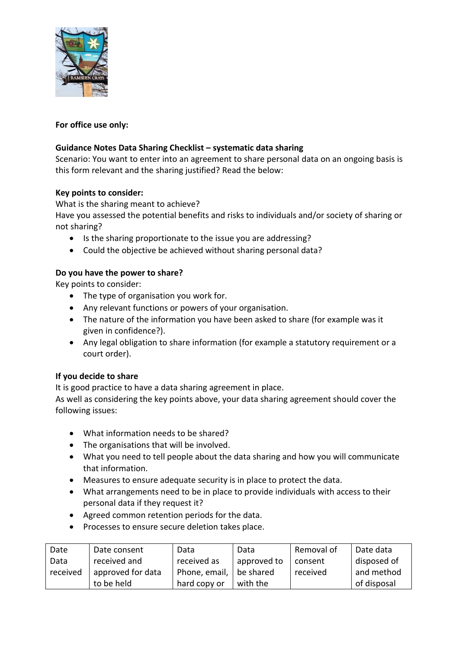

# **For office use only:**

# **Guidance Notes Data Sharing Checklist – systematic data sharing**

Scenario: You want to enter into an agreement to share personal data on an ongoing basis is this form relevant and the sharing justified? Read the below:

### **Key points to consider:**

What is the sharing meant to achieve?

Have you assessed the potential benefits and risks to individuals and/or society of sharing or not sharing?

- Is the sharing proportionate to the issue you are addressing?
- Could the objective be achieved without sharing personal data?

### **Do you have the power to share?**

Key points to consider:

- The type of organisation you work for.
- Any relevant functions or powers of your organisation.
- The nature of the information you have been asked to share (for example was it given in confidence?).
- Any legal obligation to share information (for example a statutory requirement or a court order).

### **If you decide to share**

It is good practice to have a data sharing agreement in place.

As well as considering the key points above, your data sharing agreement should cover the following issues:

- What information needs to be shared?
- The organisations that will be involved.
- What you need to tell people about the data sharing and how you will communicate that information.
- Measures to ensure adequate security is in place to protect the data.
- What arrangements need to be in place to provide individuals with access to their personal data if they request it?
- Agreed common retention periods for the data.
- Processes to ensure secure deletion takes place.

| Date     | Date consent      | Data          | Data        | Removal of | Date data   |
|----------|-------------------|---------------|-------------|------------|-------------|
| Data     | received and      | received as   | approved to | consent    | disposed of |
| received | approved for data | Phone, email, | be shared   | received   | and method  |
|          | to be held        | hard copy or  | with the    |            | of disposal |